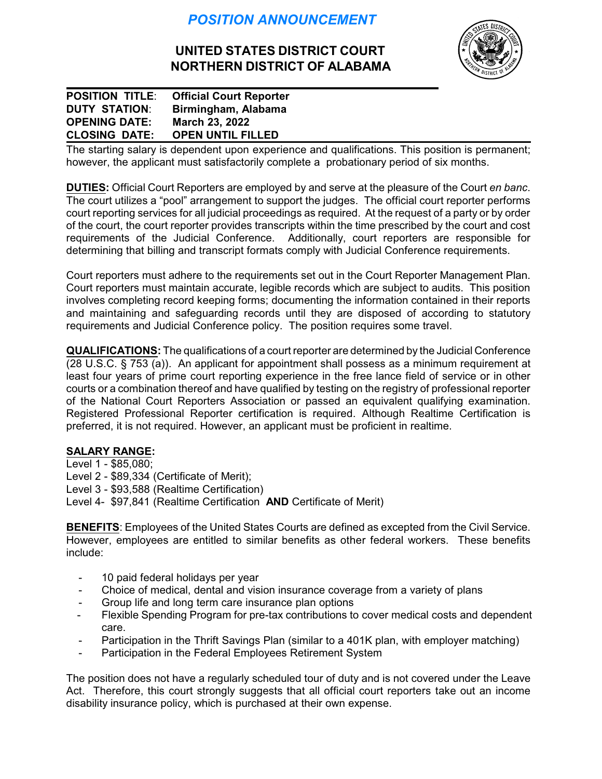## *POSITION ANNOUNCEMENT*

## **UNITED STATES DISTRICT COURT NORTHERN DISTRICT OF ALABAMA**



**POSITION TITLE**: **Official Court Reporter DUTY STATION**: **Birmingham, Alabama OPENING DATE: March 23, 2022 CLOSING DATE: OPEN UNTIL FILLED**

The starting salary is dependent upon experience and qualifications. This position is permanent; however, the applicant must satisfactorily complete a probationary period of six months.

**DUTIES:** Official Court Reporters are employed by and serve at the pleasure of the Court *en banc*. The court utilizes a "pool" arrangement to support the judges. The official court reporter performs court reporting services for all judicial proceedings as required. At the request of a party or by order of the court, the court reporter provides transcripts within the time prescribed by the court and cost requirements of the Judicial Conference. Additionally, court reporters are responsible for determining that billing and transcript formats comply with Judicial Conference requirements.

Court reporters must adhere to the requirements set out in the Court Reporter Management Plan. Court reporters must maintain accurate, legible records which are subject to audits. This position involves completing record keeping forms; documenting the information contained in their reports and maintaining and safeguarding records until they are disposed of according to statutory requirements and Judicial Conference policy. The position requires some travel.

**QUALIFICATIONS:** The qualifications of a court reporter are determined by the Judicial Conference (28 U.S.C. § 753 (a)). An applicant for appointment shall possess as a minimum requirement at least four years of prime court reporting experience in the free lance field of service or in other courts or a combination thereof and have qualified by testing on the registry of professional reporter of the National Court Reporters Association or passed an equivalent qualifying examination. Registered Professional Reporter certification is required. Although Realtime Certification is preferred, it is not required. However, an applicant must be proficient in realtime.

## **SALARY RANGE:**

Level 1 - \$85,080; Level 2 - \$89,334 (Certificate of Merit); Level 3 - \$93,588 (Realtime Certification) Level 4- \$97,841 (Realtime Certification **AND** Certificate of Merit)

**BENEFITS**: Employees of the United States Courts are defined as excepted from the Civil Service. However, employees are entitled to similar benefits as other federal workers. These benefits include:

- 10 paid federal holidays per year
- Choice of medical, dental and vision insurance coverage from a variety of plans
- Group life and long term care insurance plan options
- Flexible Spending Program for pre-tax contributions to cover medical costs and dependent care.
- Participation in the Thrift Savings Plan (similar to a 401K plan, with employer matching)
- Participation in the Federal Employees Retirement System

The position does not have a regularly scheduled tour of duty and is not covered under the Leave Act. Therefore, this court strongly suggests that all official court reporters take out an income disability insurance policy, which is purchased at their own expense.